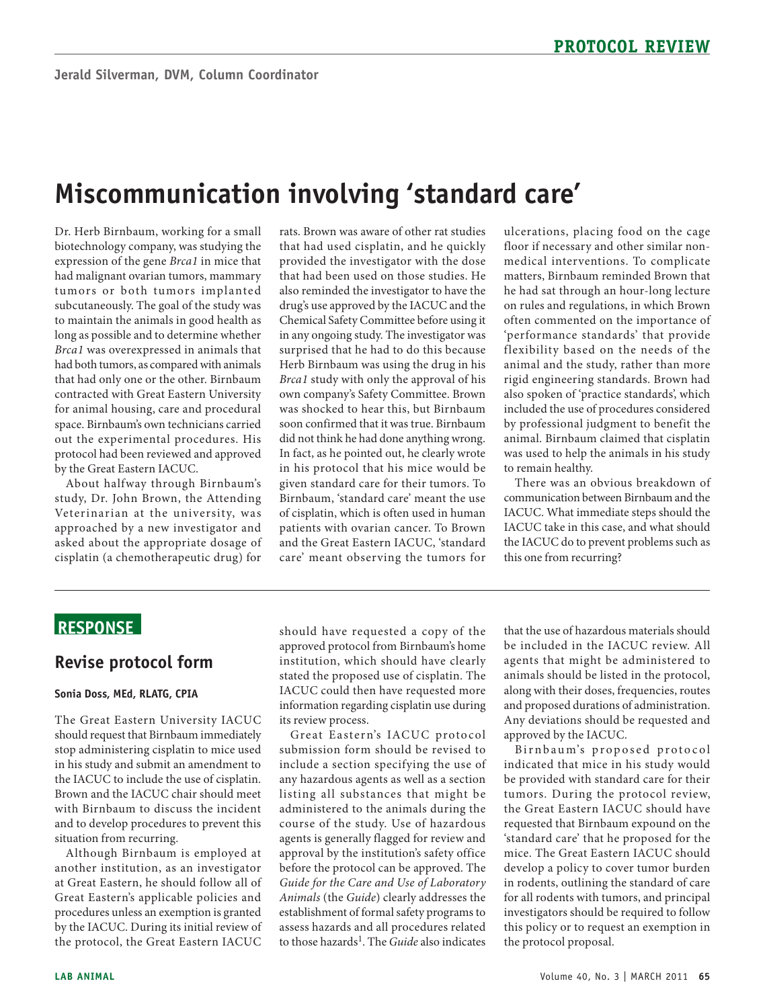# **Miscommunication involving 'standard care'**

 Dr. Herb Birnbaum, working for a small biotechnology company, was studying the expression of the gene *Brca1* in mice that had malignant ovarian tumors, mammary long as possible and to determine whether *Brca1* was overexpressed in animals that for animal housing, care and procedural space. Birnbaum's own technicians carried tumors or both tumors implanted subcutaneously. The goal of the study was to maintain the animals in good health as had both tumors, as compared with animals that had only one or the other. Birnbaum contracted with Great Eastern University out the experimental procedures. His protocol had been reviewed and approved by the Great Eastern IACUC.

 study, Dr. John Brown, the Attending asked about the appropriate dosage of cisplatin (a chemotherapeutic drug) for About halfway through Birnbaum's Veterinarian at the university, was approached by a new investigator and

 rats. Brown was aware of other rat studies provided the investigator with the dose that had been used on those studies. He also reminded the investigator to have the drug's use approved by the IACUC and the surprised that he had to do this because *Brca1* study with only the approval of his own company's Safety Committee. Brown in his protocol that his mice would be Birnbaum, 'standard care' meant the use of cisplatin, which is often used in human patients with ovarian cancer. To Brown and the Great Eastern IACUC, 'standard that had used cisplatin, and he quickly Chemical Safety Committee before using it in any ongoing study. The investigator was Herb Birnbaum was using the drug in his was shocked to hear this, but Birnbaum soon confirmed that it was true. Birnbaum did not think he had done anything wrong. In fact, as he pointed out, he clearly wrote given standard care for their tumors. To care' meant observing the tumors for

 ulcerations, placing food on the cage medical interventions. To complicate matters, Birnbaum reminded Brown that he had sat through an hour-long lecture on rules and regulations, in which Brown often commented on the importance of 'performance standards' that provide flexibility based on the needs of the also spoken of 'practice standards', which by professional judgment to benefit the animal. Birnbaum claimed that cisplatin floor if necessary and other similar nonanimal and the study, rather than more rigid engineering standards. Brown had included the use of procedures considered was used to help the animals in his study to remain healthy.

 There was an obvious breakdown of communication between Birnbaum and the IACUC. What immediate steps should the IACUC take in this case, and what should the IACUC do to prevent problems such as this one from recurring?

## **ReSponSe**

#### **Revise protocol form**

#### **Sonia Doss, Med, RLATG, CpIA**

 the IACUC to include the use of cisplatin. Brown and the IACUC chair should meet with Birnbaum to discuss the incident The Great Eastern University IACUC should request that Birnbaum immediately stop administering cisplatin to mice used in his study and submit an amendment to and to develop procedures to prevent this situation from recurring.

 another institution, as an investigator at Great Eastern, he should follow all of by the IACUC. During its initial review of Although Birnbaum is employed at Great Eastern's applicable policies and procedures unless an exemption is granted the protocol, the Great Eastern IACUC

 should have requested a copy of the approved protocol from Birnbaum's home institution, which should have clearly stated the proposed use of cisplatin. The IACUC could then have requested more information regarding cisplatin use during its review process.

 Great E astern's IACUC protocol include a section specifying the use of any hazardous agents as well as a section listing all substances that might be approval by the institution's safety office before the protocol can be approved. The  *Guide for the Care and Use of Laboratory Animals* (the *Guide*) clearly addresses the to those hazards1. The *Guide* also indicates submission form should be revised to administered to the animals during the course of the study. Use of hazardous agents is generally flagged for review and establishment of formal safety programs to assess hazards and all procedures related

 be included in the IACUC review. All animals should be listed in the protocol, and proposed durations of administration. that the use of hazardous materials should agents that might be administered to along with their doses, frequencies, routes Any deviations should be requested and approved by the IACUC.

 tumors. During the protocol review, the Great Eastern IACUC should have 'standard care' that he proposed for the develop a policy to cover tumor burden in rodents, outlining the standard of care for all rodents with tumors, and principal investigators should be required to follow this policy or to request an exemption in the protocol proposal. Birnbaum's proposed protocol indicated that mice in his study would be provided with standard care for their requested that Birnbaum expound on the mice. The Great Eastern IACUC should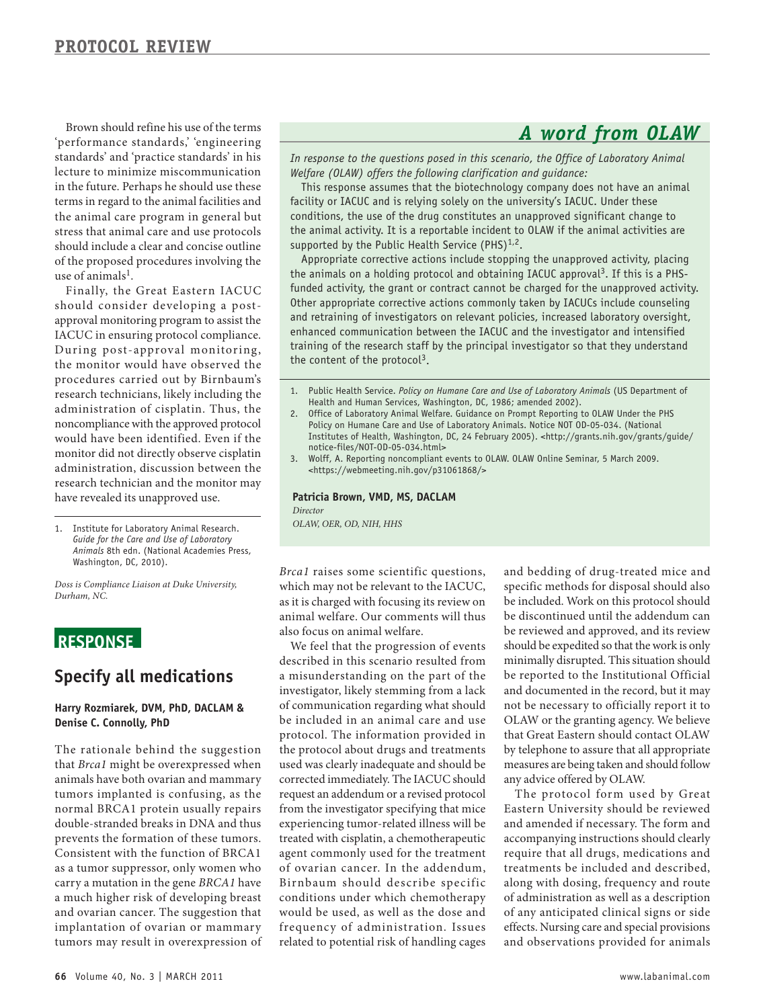'performance standards,' 'engineering standards' and 'practice standards' in his lecture to minimize miscommunication in the future. Perhaps he should use these should include a clear and concise outline of the proposed procedures involving the use of animals<sup>1</sup>. Brown should refine his use of the terms terms in regard to the animal facilities and the animal care program in general but stress that animal care and use protocols

 should consider developing a post- approval monitoring program to assist the IACUC in ensuring protocol compliance. the monitor would have observed the procedures carried out by Birnbaum's research technicians, likely including the administration of cisplatin. Thus, the noncompliance with the approved protocol would have been identified. Even if the monitor did not directly observe cisplatin administration, discussion between the Finally, the Great Eastern IACUC During post-approval monitoring, research technician and the monitor may have revealed its unapproved use.

 1. Institute for Laboratory Animal Research.  *Guide for the Care and Use of Laboratory Animals* 8th edn. (National Academies Press, Washington, DC, 2010).

 *Doss is Compliance Liaison at Duke University, Durham, NC.* 

## **ReSponSe**

## **Specify all medications**

#### **Harry Rozmiarek, DVM, phD, DACLAM & Denise C. Connolly, phD**

 The rationale behind the suggestion that *Brca1* might be overexpressed when animals have both ovarian and mammary tumors implanted is confusing, as the prevents the formation of these tumors. Consistent with the function of BRCA1 a much higher risk of developing breast and ovarian cancer. The suggestion that normal BRCA1 protein usually repairs double-stranded breaks in DNA and thus as a tumor suppressor, only women who carry a mutation in the gene *BRCA1* have implantation of ovarian or mammary tumors may result in overexpression of

*In response to the questions posed in this scenario, the Office of Laboratory Animal Welfare (OLAW) offers the following clarification and guidance:* 

 conditions, the use of the drug constitutes an unapproved significant change to This response assumes that the biotechnology company does not have an animal facility or IACUC and is relying solely on the university's IACUC. Under these the animal activity. It is a reportable incident to OLAW if the animal activities are supported by the Public Health Service (PHS) $1.2$ .

 Appropriate corrective actions include stopping the unapproved activity, placing and retraining of investigators on relevant policies, increased laboratory oversight, enhanced communication between the IACUC and the investigator and intensified training of the research staff by the principal investigator so that they understand the animals on a holding protocol and obtaining IACUC approval<sup>3</sup>. If this is a PHSfunded activity, the grant or contract cannot be charged for the unapproved activity. Other appropriate corrective actions commonly taken by IACUCs include counseling the content of the protocol<sup>3</sup>.

- 1. Public Health Service. *Policy on Humane Care and Use of Laboratory Animals* (US Department of Health and Human Services, Washington, DC, 1986; amended 2002).
- 2. Office of Laboratory Animal Welfare. Guidance on Prompt Reporting to OLAW Under the PHS Policy on Humane Care and Use of Laboratory Animals. Notice NOT OD-05-034. (National Institutes of Health, Washington, DC, 24 February 2005). <[http://grants.nih.gov/grants/guide/](http://grants.nih.gov/grants/guide/notice-files/NOT-OD-05-034.html) [notice-files/NOT-OD-05-034.html>](http://grants.nih.gov/grants/guide/notice-files/NOT-OD-05-034.html)
- 3. Wolff, A. Reporting noncompliant events to OLAW. OLAW Online Seminar, 5 March 2009. [<https://webmeeting.nih.gov/p31061868/](https://webmeeting.nih.gov/p31061868/)>

**patricia Brown, VMD, MS, DACLAM**  *Director OLAW, OER, OD, NIH, HHS* 

 *Brca1* raises some scientific questions, which may not be relevant to the IACUC, as it is charged with focusing its review on animal welfare. Our comments will thus also focus on animal welfare.

 a misunderstanding on the part of the be included in an animal care and use protocol. The information provided in the protocol about drugs and treatments used was clearly inadequate and should be request an addendum or a revised protocol from the investigator specifying that mice experiencing tumor-related illness will be treated with cisplatin, a chemotherapeutic agent commonly used for the treatment of ovarian cancer. In the addendum, Birnbaum should describe specific related to potential risk of handling cages We feel that the progression of events described in this scenario resulted from investigator, likely stemming from a lack of communication regarding what should corrected immediately. The IACUC should conditions under which chemotherapy would be used, as well as the dose and frequency of administration. Issues

 specific methods for disposal should also be discontinued until the addendum can be reviewed and approved, and its review minimally disrupted. This situation should be reported to the Institutional Official OLAW or the granting agency. We believe that Great Eastern should contact OLAW by telephone to assure that all appropriate measures are being taken and should follow and bedding of drug-treated mice and be included. Work on this protocol should should be expedited so that the work is only and documented in the record, but it may not be necessary to officially report it to any advice offered by OLAW.

 The protocol form used by Great treatments be included and described, along with dosing, frequency and route of administration as well as a description of any anticipated clinical signs or side Eastern University should be reviewed and amended if necessary. The form and accompanying instructions should clearly require that all drugs, medications and effects. Nursing care and special provisions and observations provided for animals